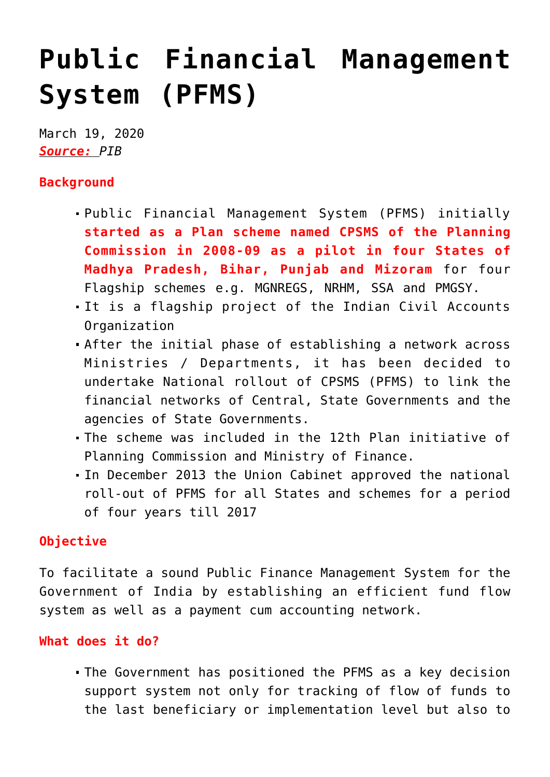## **[Public Financial Management](https://journalsofindia.com/public-financial-management-system-pfms/) [System \(PFMS\)](https://journalsofindia.com/public-financial-management-system-pfms/)**

March 19, 2020 *Source: PIB*

## **Background**

- Public Financial Management System (PFMS) initially **started as a Plan scheme named CPSMS of the Planning Commission in 2008-09 as a pilot in four States of Madhya Pradesh, Bihar, Punjab and Mizoram** for four Flagship schemes e.g. MGNREGS, NRHM, SSA and PMGSY.
- It is a flagship project of the Indian Civil Accounts Organization
- After the initial phase of establishing a network across Ministries / Departments, it has been decided to undertake National rollout of CPSMS (PFMS) to link the financial networks of Central, State Governments and the agencies of State Governments.
- The scheme was included in the 12th Plan initiative of Planning Commission and Ministry of Finance.
- In December 2013 the Union Cabinet approved the national roll-out of PFMS for all States and schemes for a period of four years till 2017

## **Objective**

To facilitate a sound Public Finance Management System for the Government of India by establishing an efficient fund flow system as well as a payment cum accounting network.

## **What does it do?**

The Government has positioned the PFMS as a key decision support system not only for tracking of flow of funds to the last beneficiary or implementation level but also to